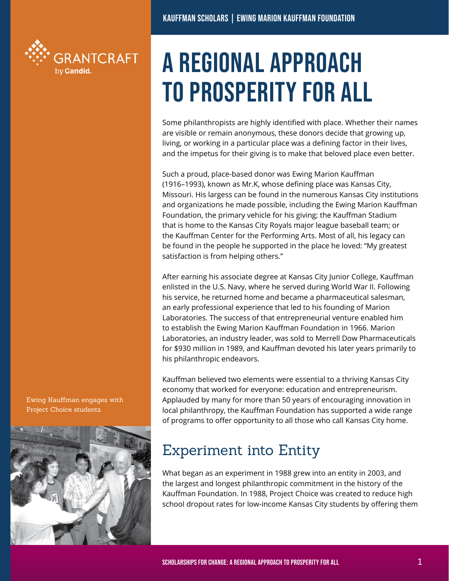

## A Regional Approach to Prosperity for All

Some philanthropists are highly identified with place. Whether their names are visible or remain anonymous, these donors decide that growing up, living, or working in a particular place was a defining factor in their lives, and the impetus for their giving is to make that beloved place even better.

Such a proud, place-based donor was Ewing Marion Kauffman (1916–1993), known as Mr.K, whose defining place was Kansas City, Missouri. His largess can be found in the numerous Kansas City institutions and organizations he made possible, including the Ewing Marion Kauffman Foundation, the primary vehicle for his giving; the Kauffman Stadium that is home to the Kansas City Royals major league baseball team; or the Kauffman Center for the Performing Arts. Most of all, his legacy can be found in the people he supported in the place he loved: "My greatest satisfaction is from helping others."

After earning his associate degree at Kansas City Junior College, Kauffman enlisted in the U.S. Navy, where he served during World War II. Following his service, he returned home and became a pharmaceutical salesman, an early professional experience that led to his founding of Marion Laboratories. The success of that entrepreneurial venture enabled him to establish the Ewing Marion Kauffman Foundation in 1966. Marion Laboratories, an industry leader, was sold to Merrell Dow Pharmaceuticals for \$930 million in 1989, and Kauffman devoted his later years primarily to his philanthropic endeavors.

Kauffman believed two elements were essential to a thriving Kansas City economy that worked for everyone: education and entrepreneurism. Applauded by many for more than 50 years of encouraging innovation in local philanthropy, the Kauffman Foundation has supported a wide range of programs to offer opportunity to all those who call Kansas City home.

## Experiment into Entity

What began as an experiment in 1988 grew into an entity in 2003, and the largest and longest philanthropic commitment in the history of the Kauffman Foundation. In 1988, Project Choice was created to reduce high school dropout rates for low-income Kansas City students by offering them

Ewing Kauffman engages with Project Choice students.

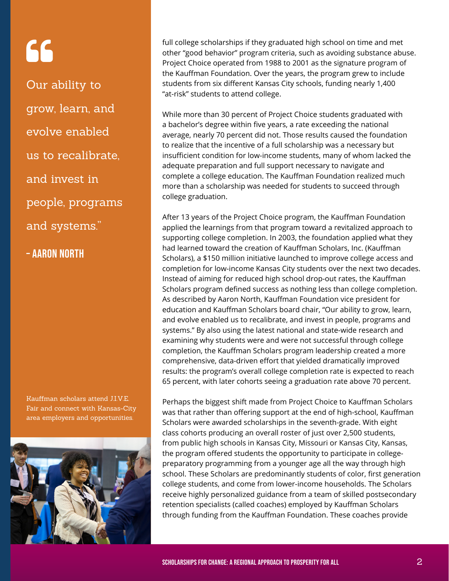# 66

Our ability to grow, learn, and evolve enabled us to recalibrate, and invest in people, programs and systems."

– aaron North

Kauffman scholars attend J.I.V.E. Fair and connect with Kansas-City area employers and opportunities.



full college scholarships if they graduated high school on time and met other "good behavior" program criteria, such as avoiding substance abuse. Project Choice operated from 1988 to 2001 as the signature program of the Kauffman Foundation. Over the years, the program grew to include students from six different Kansas City schools, funding nearly 1,400 "at-risk" students to attend college.

While more than 30 percent of Project Choice students graduated with a bachelor's degree within five years, a rate exceeding the national average, nearly 70 percent did not. Those results caused the foundation to realize that the incentive of a full scholarship was a necessary but insufficient condition for low-income students, many of whom lacked the adequate preparation and full support necessary to navigate and complete a college education. The Kauffman Foundation realized much more than a scholarship was needed for students to succeed through college graduation.

After 13 years of the Project Choice program, the Kauffman Foundation applied the learnings from that program toward a revitalized approach to supporting college completion. In 2003, the foundation applied what they had learned toward the creation of Kauffman Scholars, Inc. (Kauffman Scholars), a \$150 million initiative launched to improve college access and completion for low-income Kansas City students over the next two decades. Instead of aiming for reduced high school drop-out rates, the Kauffman Scholars program defined success as nothing less than college completion. As described by Aaron North, Kauffman Foundation vice president for education and Kauffman Scholars board chair, "Our ability to grow, learn, and evolve enabled us to recalibrate, and invest in people, programs and systems." By also using the latest national and state-wide research and examining why students were and were not successful through college completion, the Kauffman Scholars program leadership created a more comprehensive, data-driven effort that yielded dramatically improved results: the program's overall college completion rate is expected to reach 65 percent, with later cohorts seeing a graduation rate above 70 percent.

Perhaps the biggest shift made from Project Choice to Kauffman Scholars was that rather than offering support at the end of high-school, Kauffman Scholars were awarded scholarships in the seventh-grade. With eight class cohorts producing an overall roster of just over 2,500 students, from public high schools in Kansas City, Missouri or Kansas City, Kansas, the program offered students the opportunity to participate in collegepreparatory programming from a younger age all the way through high school. These Scholars are predominantly students of color, first generation college students, and come from lower-income households. The Scholars receive highly personalized guidance from a team of skilled postsecondary retention specialists (called coaches) employed by Kauffman Scholars through funding from the Kauffman Foundation. These coaches provide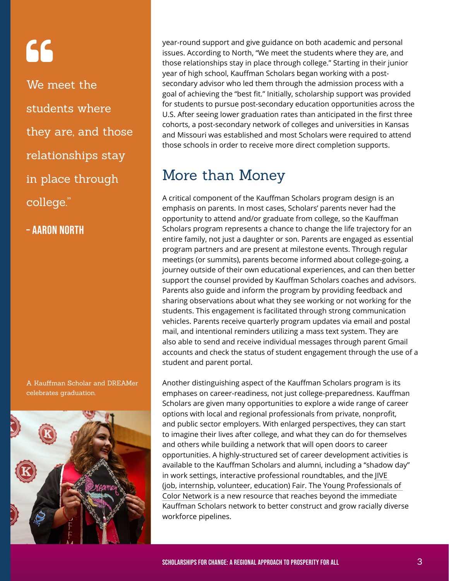# 66

We meet the students where they are, and those relationships stay in place through college."

– aaron North

A Kauffman Scholar and DREAMer celebrates graduation.



year-round support and give guidance on both academic and personal issues. According to North, "We meet the students where they are, and those relationships stay in place through college." Starting in their junior year of high school, Kauffman Scholars began working with a postsecondary advisor who led them through the admission process with a goal of achieving the "best fit." Initially, scholarship support was provided for students to pursue post-secondary education opportunities across the U.S. After seeing lower graduation rates than anticipated in the first three cohorts, a post-secondary network of colleges and universities in Kansas and Missouri was established and most Scholars were required to attend those schools in order to receive more direct completion supports.

### More than Money

A critical component of the Kauffman Scholars program design is an emphasis on parents. In most cases, Scholars' parents never had the opportunity to attend and/or graduate from college, so the Kauffman Scholars program represents a chance to change the life trajectory for an entire family, not just a daughter or son. Parents are engaged as essential program partners and are present at milestone events. Through regular meetings (or summits), parents become informed about college-going, a journey outside of their own educational experiences, and can then better support the counsel provided by Kauffman Scholars coaches and advisors. Parents also guide and inform the program by providing feedback and sharing observations about what they see working or not working for the students. This engagement is facilitated through strong communication vehicles. Parents receive quarterly program updates via email and postal mail, and intentional reminders utilizing a mass text system. They are also able to send and receive individual messages through parent Gmail accounts and check the status of student engagement through the use of a student and parent portal.

Another distinguishing aspect of the Kauffman Scholars program is its emphases on career-readiness, not just college-preparedness. Kauffman Scholars are given many opportunities to explore a wide range of career options with local and regional professionals from private, nonprofit, and public sector employers. With enlarged perspectives, they can start to imagine their lives after college, and what they can do for themselves and others while building a network that will open doors to career opportunities. A highly-structured set of career development activities is available to the Kauffman Scholars and alumni, including a "shadow day" in work settings, interactive professional roundtables, and the [JIVE](https://youtu.be/tozv16o2SeY) [\(job, internship, volunteer, education\) Fair.](https://youtu.be/tozv16o2SeY) [The Young Professionals](http://www.kauffmanscholars.org/our-scholars/young-professionals-of-color-kc) [of](http://www.kauffmanscholars.org/our-scholars/young-professionals-of-color-kc)  [Color Network](http://www.kauffmanscholars.org/our-scholars/young-professionals-of-color-kc) is a new resource that reaches beyond the immediate Kauffman Scholars network to better construct and grow racially diverse workforce pipelines.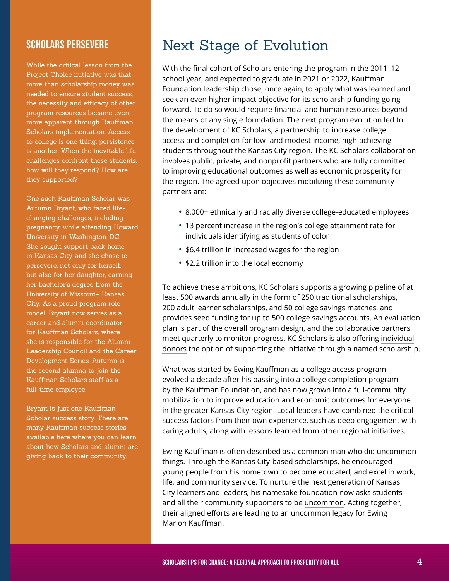#### Scholars Persevere

While the critical lesson from the Project Choice initiative was that more than scholarship money was needed to ensure student success, the necessity and efficacy of other program resources became even more apparent through Kauffman Scholars implementation. Access to college is one thing; persistence is another. When the inevitable life challenges confront these students, how will they respond? How are they supported?

One such Kauffman Scholar was [Autumn Bryant](https://www.youtube.com/watch?v=JkTnSTjmqak&feature=youtu.be), who faced lifechanging challenges, including pregnancy, while attending Howard University in Washington, DC. She sought support back home in Kansas City and she chose to persevere, not only for herself, but also for her daughter, earning her bachelor's degree from the University of Missouri– Kansas City. As a proud program role model, Bryant now serves as a career and [alumni coordinator](https://www.kauffman.org/who-we-are/leadership-and-associates/associates/autumn-bryant) for Kauffman Scholars, where she is responsible for the Alumni Leadership Council and the Career Development Series. Autumn is the second alumna to join the Kauffman Scholars staff as a full-time employee.

Bryant is just one Kauffman Scholar success story. There are many Kauffman success stories available [here](http://www.kauffmanscholars.org/our-scholars/scholar-stories) where you can learn about how Scholars and alumni are giving back to their community.

### Next Stage of Evolution

With the final cohort of Scholars entering the program in the 2011–12 school year, and expected to graduate in 2021 or 2022, Kauffman Foundation leadership chose, once again, to apply what was learned and seek an even higher-impact objective for its scholarship funding going forward. To do so would require financial and human resources beyond the means of any single foundation. The next program evolution led to the development of [KC Scholars,](http://kcscholars.org/) a partnership to increase college access and completion for low- and modest-income, high-achieving students throughout the Kansas City region. The KC Scholars collaboration involves public, private, and nonprofit partners who are fully committed to improving educational outcomes as well as economic prosperity for the region. The agreed-upon objectives mobilizing these community partners are:

- **•** 8,000+ ethnically and racially diverse college-educated employees
- **•** 13 percent increase in the region's college attainment rate for individuals identifying as students of color
- **•** \$6.4 trillion in increased wages for the region
- **•** \$2.2 trillion into the local economy

To achieve these ambitions, KC Scholars supports a growing pipeline of at least 500 awards annually in the form of 250 traditional scholarships, 200 adult learner scholarships, and 50 college savings matches, and provides seed funding for up to 500 college savings accounts. An evaluation plan is part of the overall program design, and the collaborative partners meet quarterly to monitor progress. KC Scholars is also offering [individual](http://kcscholars.org/become-a- donor/#named) [donors](http://kcscholars.org/become-a- donor/#named) the option of supporting the initiative through a named scholarship.

What was started by Ewing Kauffman as a college access program evolved a decade after his passing into a college completion program by the Kauffman Foundation, and has now grown into a full-community mobilization to improve education and economic outcomes for everyone in the greater Kansas City region. Local leaders have combined the critical success factors from their own experience, such as deep engagement with caring adults, along with lessons learned from other regional initiatives.

Ewing Kauffman is often described as a common man who did uncommon things. Through the Kansas City-based scholarships, he encouraged young people from his hometown to become educated, and excel in work, life, and community service. To nurture the next generation of Kansas City learners and leaders, his namesake foundation now asks students and all their community supporters to be [uncommon](https://www.kauffman.org/rethink/uncommon). Acting together, their aligned efforts are leading to an uncommon legacy for Ewing Marion Kauffman.